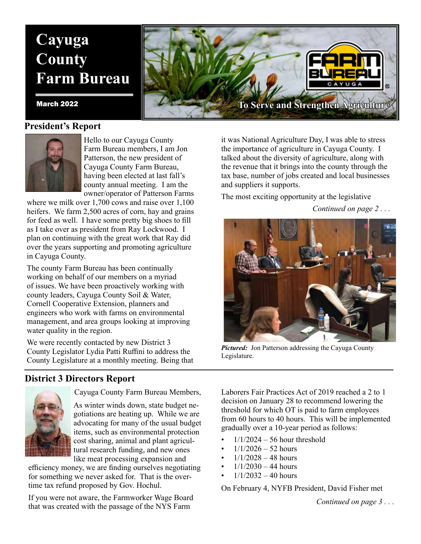# **Cayuga County Farm Bureau**

#### **President's Report**



Hello to our Cayuga County Farm Bureau members, I am Jon Patterson, the new president of Cayuga County Farm Bureau, having been elected at last fall's county annual meeting. I am the owner/operator of Patterson Farms

where we milk over 1,700 cows and raise over 1,100 heifers. We farm 2,500 acres of corn, hay and grains for feed as well. I have some pretty big shoes to fill as I take over as president from Ray Lockwood. I plan on continuing with the great work that Ray did over the years supporting and promoting agriculture in Cayuga County.

The county Farm Bureau has been continually working on behalf of our members on a myriad of issues. We have been proactively working with county leaders, Cayuga County Soil & Water, Cornell Cooperative Extension, planners and engineers who work with farms on environmental management, and area groups looking at improving water quality in the region.

We were recently contacted by new District 3 County Legislator Lydia Patti Ruffini to address the County Legislature at a monthly meeting. Being that

#### **District 3 Directors Report**



Cayuga County Farm Bureau Members,

As winter winds down, state budget negotiations are heating up. While we are advocating for many of the usual budget items, such as environmental protection cost sharing, animal and plant agricultural research funding, and new ones like meat processing expansion and

efficiency money, we are finding ourselves negotiating for something we never asked for. That is the overtime tax refund proposed by Gov. Hochul.

If you were not aware, the Farmworker Wage Board that was created with the passage of the NYS Farm



it was National Agriculture Day, I was able to stress the importance of agriculture in Cayuga County. I talked about the diversity of agriculture, along with the revenue that it brings into the county through the tax base, number of jobs created and local businesses and suppliers it supports.

The most exciting opportunity at the legislative

*Continued on page 2 . . .*



*Pictured:* Jon Patterson addressing the Cayuga County Legislature.

Laborers Fair Practices Act of 2019 reached a 2 to 1 decision on January 28 to recommend lowering the threshold for which OT is paid to farm employees from 60 hours to 40 hours. This will be implemented gradually over a 10-year period as follows:

- $1/1/2024 56$  hour threshold
- $1/1/2026 52$  hours
- $1/1/2028 48$  hours
- $1/1/2030 44$  hours
- $1/1/2032 40$  hours

On February 4, NYFB President, David Fisher met

*Continued on page 3 . . .*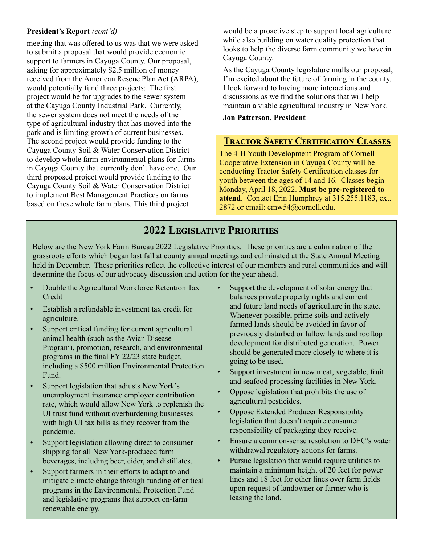#### **President's Report** *(cont'd)*

meeting that was offered to us was that we were asked to submit a proposal that would provide economic support to farmers in Cayuga County. Our proposal, asking for approximately \$2.5 million of money received from the American Rescue Plan Act (ARPA), would potentially fund three projects: The first project would be for upgrades to the sewer system at the Cayuga County Industrial Park. Currently, the sewer system does not meet the needs of the type of agricultural industry that has moved into the park and is limiting growth of current businesses. The second project would provide funding to the Cayuga County Soil & Water Conservation District to develop whole farm environmental plans for farms in Cayuga County that currently don't have one. Our third proposed project would provide funding to the Cayuga County Soil & Water Conservation District to implement Best Management Practices on farms based on these whole farm plans. This third project

would be a proactive step to support local agriculture while also building on water quality protection that looks to help the diverse farm community we have in Cayuga County.

As the Cayuga County legislature mulls our proposal, I'm excited about the future of farming in the county. I look forward to having more interactions and discussions as we find the solutions that will help maintain a viable agricultural industry in New York.

#### **Jon Patterson, President**

#### **Tractor Safety Certification Classes**

The 4-H Youth Development Program of Cornell Cooperative Extension in Cayuga County will be conducting Tractor Safety Certification classes for youth between the ages of 14 and 16. Classes begin Monday, April 18, 2022. **Must be pre-registered to attend**. Contact Erin Humphrey at 315.255.1183, ext. 2872 or email: emw54@cornell.edu.

# **2022 Legislative Priorities**

Below are the New York Farm Bureau 2022 Legislative Priorities. These priorities are a culmination of the grassroots efforts which began last fall at county annual meetings and culminated at the State Annual Meeting held in December. These priorities reflect the collective interest of our members and rural communities and will determine the focus of our advocacy discussion and action for the year ahead.

- Double the Agricultural Workforce Retention Tax **Credit**
- Establish a refundable investment tax credit for agriculture.
- Support critical funding for current agricultural animal health (such as the Avian Disease Program), promotion, research, and environmental programs in the final FY 22/23 state budget, including a \$500 million Environmental Protection Fund.
- Support legislation that adjusts New York's unemployment insurance employer contribution rate, which would allow New York to replenish the UI trust fund without overburdening businesses with high UI tax bills as they recover from the pandemic.
- Support legislation allowing direct to consumer shipping for all New York-produced farm beverages, including beer, cider, and distillates.
- Support farmers in their efforts to adapt to and mitigate climate change through funding of critical programs in the Environmental Protection Fund and legislative programs that support on-farm renewable energy.
- Support the development of solar energy that balances private property rights and current and future land needs of agriculture in the state. Whenever possible, prime soils and actively farmed lands should be avoided in favor of previously disturbed or fallow lands and rooftop development for distributed generation. Power should be generated more closely to where it is going to be used.
- Support investment in new meat, vegetable, fruit and seafood processing facilities in New York.
- Oppose legislation that prohibits the use of agricultural pesticides.
- Oppose Extended Producer Responsibility legislation that doesn't require consumer responsibility of packaging they receive.
- Ensure a common-sense resolution to DEC's water withdrawal regulatory actions for farms.
- Pursue legislation that would require utilities to maintain a minimum height of 20 feet for power lines and 18 feet for other lines over farm fields upon request of landowner or farmer who is leasing the land.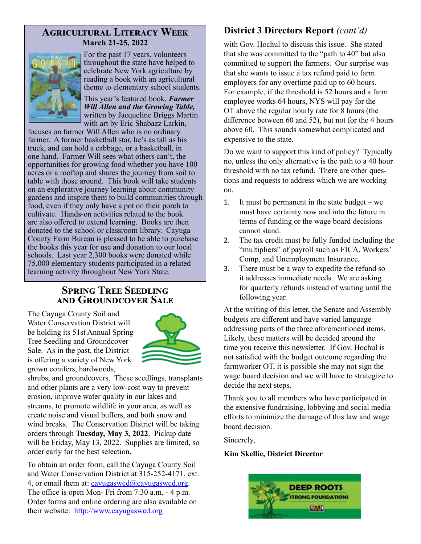## **Agricultural Literacy Week March 21-25, 2022**



For the past 17 years, volunteers throughout the state have helped to celebrate New York agriculture by reading a book with an agricultural theme to elementary school students.

This year's featured book, *Farmer Will Allen and the Growing Table,* written by Jacqueline Briggs Martin with art by Eric Shabazz Larkin,

focuses on farmer Will Allen who is no ordinary farmer. A former basketball star, he's as tall as his truck, and can hold a cabbage, or a basketball, in one hand. Farmer Will sees what others can't, the opportunities for growing food whether you have 100 acres or a rooftop and shares the journey from soil to table with those around. This book will take students on an explorative journey learning about community gardens and inspire them to build communities through food, even if they only have a pot on their porch to cultivate. Hands-on activities related to the book are also offered to extend learning. Books are then donated to the school or classroom library. Cayuga County Farm Bureau is pleased to be able to purchase the books this year for use and donation to our local schools. Last year 2,300 books were donated while 75,000 elementary students participated in a related learning activity throughout New York State.

## **Spring Tree Seedling and Groundcover Sale**

The Cayuga County Soil and Water Conservation District will be holding its 51st Annual Spring Tree Seedling and Groundcover Sale. As in the past, the District is offering a variety of New York grown conifers, hardwoods,



shrubs, and groundcovers. These seedlings, transplants and other plants are a very low-cost way to prevent erosion, improve water quality in our lakes and streams, to promote wildlife in your area, as well as create noise and visual buffers, and both snow and wind breaks. The Conservation District will be taking orders through **Tuesday, May 3, 2022**. Pickup date will be Friday, May 13, 2022. Supplies are limited, so order early for the best selection.

To obtain an order form, call the Cayuga County Soil and Water Conservation District at 315-252-4171, ext. 4, or email them at:  $caryugaswd@cayugaswed.org$ . The office is open Mon- Fri from 7:30 a.m. - 4 p.m. Order forms and online ordering are also available on their website: http://www.cayugaswcd.org

# **District 3 Directors Report** *(cont'd)*

with Gov. Hochul to discuss this issue. She stated that she was committed to the "path to 40" but also committed to support the farmers. Our surprise was that she wants to issue a tax refund paid to farm employers for any overtime paid up to 60 hours. For example, if the threshold is 52 hours and a farm employee works 64 hours, NYS will pay for the OT above the regular hourly rate for 8 hours (the difference between 60 and 52), but not for the 4 hours above 60. This sounds somewhat complicated and expensive to the state.

Do we want to support this kind of policy? Typically no, unless the only alternative is the path to a 40 hour threshold with no tax refund. There are other questions and requests to address which we are working on.

- 1. It must be permanent in the state budget we must have certainty now and into the future in terms of funding or the wage board decisions cannot stand.
- 2. The tax credit must be fully funded including the "multipliers" of payroll such as FICA, Workers' Comp, and Unemployment Insurance.
- 3. There must be a way to expedite the refund so it addresses immediate needs. We are asking for quarterly refunds instead of waiting until the following year.

At the writing of this letter, the Senate and Assembly budgets are different and have varied language addressing parts of the three aforementioned items. Likely, these matters will be decided around the time you receive this newsletter. If Gov. Hochul is not satisfied with the budget outcome regarding the farmworker OT, it is possible she may not sign the wage board decision and we will have to strategize to decide the next steps.

Thank you to all members who have participated in the extensive fundraising, lobbying and social media efforts to minimize the damage of this law and wage board decision.

Sincerely,

#### **Kim Skellie, District Director**